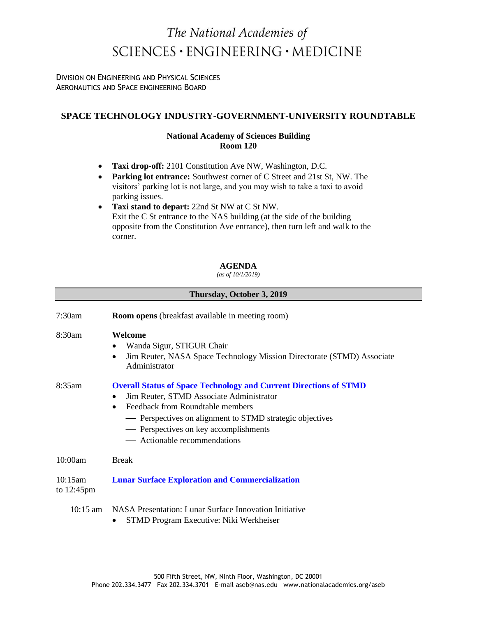# The National Academies of  $SCIENCES \cdot ENGINEERING \cdot MEDICINE$

DIVISION ON ENGINEERING AND PHYSICAL SCIENCES AERONAUTICS AND SPACE ENGINEERING BOARD

# **SPACE TECHNOLOGY INDUSTRY-GOVERNMENT-UNIVERSITY ROUNDTABLE**

### **National Academy of Sciences Building Room 120**

- **Taxi drop-off:** 2101 Constitution Ave NW, Washington, D.C.
- **Parking lot entrance:** Southwest corner of C Street and 21st St, NW. The visitors' parking lot is not large, and you may wish to take a taxi to avoid parking issues.
- **Taxi stand to depart:** 22nd St NW at C St NW. Exit the C St entrance to the NAS building (at the side of the building opposite from the Constitution Ave entrance), then turn left and walk to the corner.

### **AGENDA**

*(as of 10/1/2019)*

| Thursday, October 3, 2019       |                                                                                                                                                                                                                                                                                                            |
|---------------------------------|------------------------------------------------------------------------------------------------------------------------------------------------------------------------------------------------------------------------------------------------------------------------------------------------------------|
| 7:30am                          | <b>Room opens</b> (breakfast available in meeting room)                                                                                                                                                                                                                                                    |
| 8:30am                          | Welcome<br>Wanda Sigur, STIGUR Chair<br>$\bullet$<br>Jim Reuter, NASA Space Technology Mission Directorate (STMD) Associate<br>$\bullet$<br>Administrator                                                                                                                                                  |
| 8:35am                          | <b>Overall Status of Space Technology and Current Directions of STMD</b><br>Jim Reuter, STMD Associate Administrator<br>Feedback from Roundtable members<br>$\bullet$<br>- Perspectives on alignment to STMD strategic objectives<br>- Perspectives on key accomplishments<br>— Actionable recommendations |
| 10:00am                         | <b>Break</b>                                                                                                                                                                                                                                                                                               |
| 10:15am<br>to $12:45 \text{pm}$ | <b>Lunar Surface Exploration and Commercialization</b>                                                                                                                                                                                                                                                     |
| $10:15 \text{ am}$              | NASA Presentation: Lunar Surface Innovation Initiative                                                                                                                                                                                                                                                     |

• STMD Program Executive: Niki Werkheiser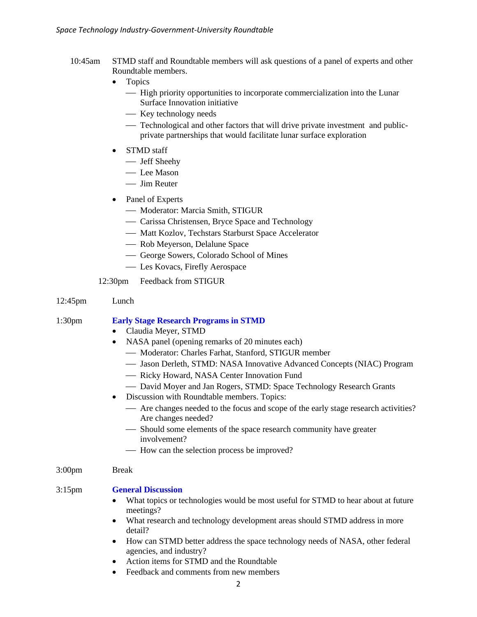- 10:45am STMD staff and Roundtable members will ask questions of a panel of experts and other Roundtable members.
	- Topics
		- ⎯ High priority opportunities to incorporate commercialization into the Lunar Surface Innovation initiative
		- Key technology needs
		- Technological and other factors that will drive private investment and publicprivate partnerships that would facilitate lunar surface exploration
	- STMD staff
		- Jeff Sheehy
		- Lee Mason
		- Jim Reuter
	- Panel of Experts
		- Moderator: Marcia Smith, STIGUR
		- Carissa Christensen, Bryce Space and Technology
		- Matt Kozlov, Techstars Starburst Space Accelerator
		- Rob Meyerson, Delalune Space
		- ⎯ George Sowers, Colorado School of Mines
		- Les Kovacs, Firefly Aerospace

### 12:30pm Feedback from STIGUR

### 12:45pm Lunch

### 1:30pm **Early Stage Research Programs in STMD**

- Claudia Meyer, STMD
- NASA panel (opening remarks of 20 minutes each)
	- Moderator: Charles Farhat, Stanford, STIGUR member
	- Jason Derleth, STMD: NASA Innovative Advanced Concepts (NIAC) Program
	- Ricky Howard, NASA Center Innovation Fund
	- David Moyer and Jan Rogers, STMD: Space Technology Research Grants
- Discussion with Roundtable members. Topics:
	- ⎯ Are changes needed to the focus and scope of the early stage research activities? Are changes needed?
	- Should some elements of the space research community have greater involvement?
	- How can the selection process be improved?

### 3:00pm Break

### 3:15pm **General Discussion**

- What topics or technologies would be most useful for STMD to hear about at future meetings?
- What research and technology development areas should STMD address in more detail?
- How can STMD better address the space technology needs of NASA, other federal agencies, and industry?
- Action items for STMD and the Roundtable
- Feedback and comments from new members